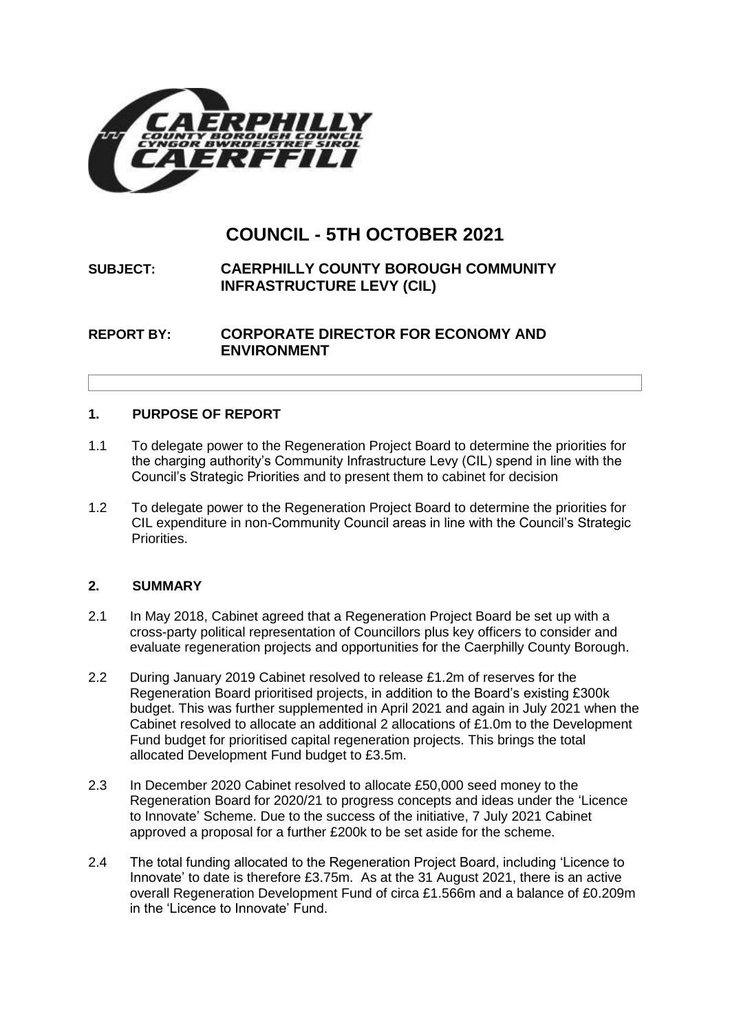

# **COUNCIL - 5TH OCTOBER 2021**

## **SUBJECT: CAERPHILLY COUNTY BOROUGH COMMUNITY INFRASTRUCTURE LEVY (CIL)**

**REPORT BY: CORPORATE DIRECTOR FOR ECONOMY AND ENVIRONMENT**

#### **1. PURPOSE OF REPORT**

- 1.1 To delegate power to the Regeneration Project Board to determine the priorities for the charging authority's Community Infrastructure Levy (CIL) spend in line with the Council's Strategic Priorities and to present them to cabinet for decision
- 1.2 To delegate power to the Regeneration Project Board to determine the priorities for CIL expenditure in non-Community Council areas in line with the Council's Strategic Priorities.

#### **2. SUMMARY**

- 2.1 In May 2018, Cabinet agreed that a Regeneration Project Board be set up with a cross-party political representation of Councillors plus key officers to consider and evaluate regeneration projects and opportunities for the Caerphilly County Borough.
- 2.2 During January 2019 Cabinet resolved to release £1.2m of reserves for the Regeneration Board prioritised projects, in addition to the Board's existing £300k budget. This was further supplemented in April 2021 and again in July 2021 when the Cabinet resolved to allocate an additional 2 allocations of £1.0m to the Development Fund budget for prioritised capital regeneration projects. This brings the total allocated Development Fund budget to £3.5m.
- 2.3 In December 2020 Cabinet resolved to allocate £50,000 seed money to the Regeneration Board for 2020/21 to progress concepts and ideas under the 'Licence to Innovate' Scheme. Due to the success of the initiative, 7 July 2021 Cabinet approved a proposal for a further £200k to be set aside for the scheme.
- 2.4 The total funding allocated to the Regeneration Project Board, including 'Licence to Innovate' to date is therefore £3.75m. As at the 31 August 2021, there is an active overall Regeneration Development Fund of circa £1.566m and a balance of £0.209m in the 'Licence to Innovate' Fund.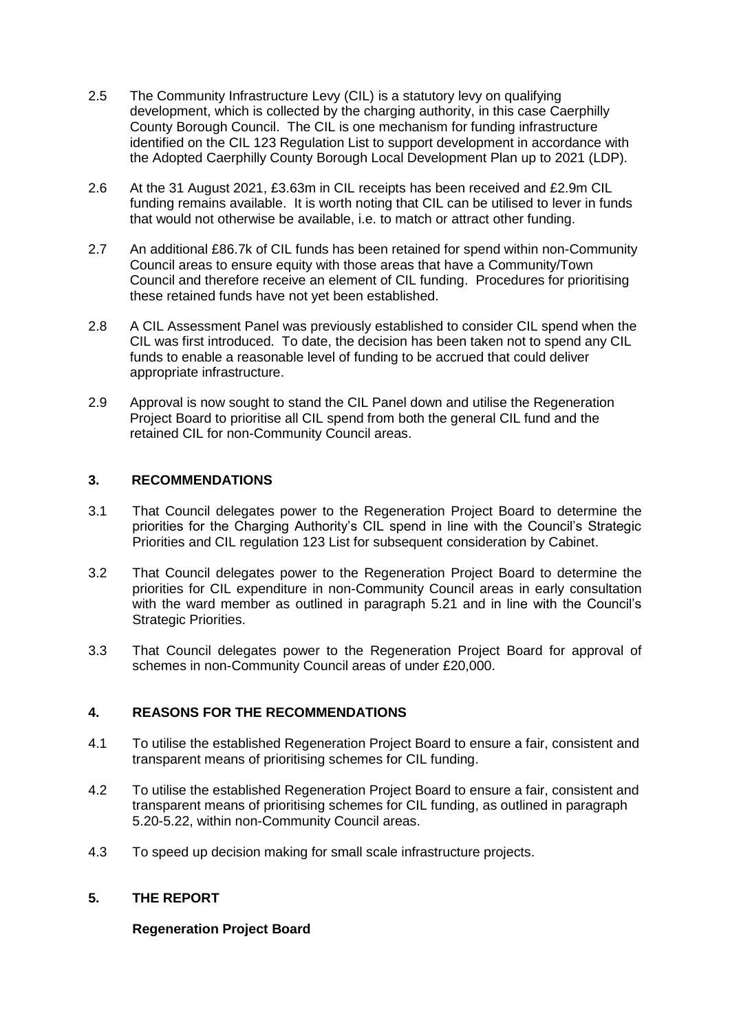- 2.5 The Community Infrastructure Levy (CIL) is a statutory levy on qualifying development, which is collected by the charging authority, in this case Caerphilly County Borough Council. The CIL is one mechanism for funding infrastructure identified on the CIL 123 Regulation List to support development in accordance with the Adopted Caerphilly County Borough Local Development Plan up to 2021 (LDP).
- 2.6 At the 31 August 2021, £3.63m in CIL receipts has been received and £2.9m CIL funding remains available. It is worth noting that CIL can be utilised to lever in funds that would not otherwise be available, i.e. to match or attract other funding.
- 2.7 An additional £86.7k of CIL funds has been retained for spend within non-Community Council areas to ensure equity with those areas that have a Community/Town Council and therefore receive an element of CIL funding. Procedures for prioritising these retained funds have not yet been established.
- 2.8 A CIL Assessment Panel was previously established to consider CIL spend when the CIL was first introduced. To date, the decision has been taken not to spend any CIL funds to enable a reasonable level of funding to be accrued that could deliver appropriate infrastructure.
- 2.9 Approval is now sought to stand the CIL Panel down and utilise the Regeneration Project Board to prioritise all CIL spend from both the general CIL fund and the retained CIL for non-Community Council areas.

#### **3. RECOMMENDATIONS**

- 3.1 That Council delegates power to the Regeneration Project Board to determine the priorities for the Charging Authority's CIL spend in line with the Council's Strategic Priorities and CIL regulation 123 List for subsequent consideration by Cabinet.
- 3.2 That Council delegates power to the Regeneration Project Board to determine the priorities for CIL expenditure in non-Community Council areas in early consultation with the ward member as outlined in paragraph 5.21 and in line with the Council's Strategic Priorities.
- 3.3 That Council delegates power to the Regeneration Project Board for approval of schemes in non-Community Council areas of under £20,000.

#### **4. REASONS FOR THE RECOMMENDATIONS**

- 4.1 To utilise the established Regeneration Project Board to ensure a fair, consistent and transparent means of prioritising schemes for CIL funding.
- 4.2 To utilise the established Regeneration Project Board to ensure a fair, consistent and transparent means of prioritising schemes for CIL funding, as outlined in paragraph 5.20-5.22, within non-Community Council areas.
- 4.3 To speed up decision making for small scale infrastructure projects.

#### **5. THE REPORT**

#### **Regeneration Project Board**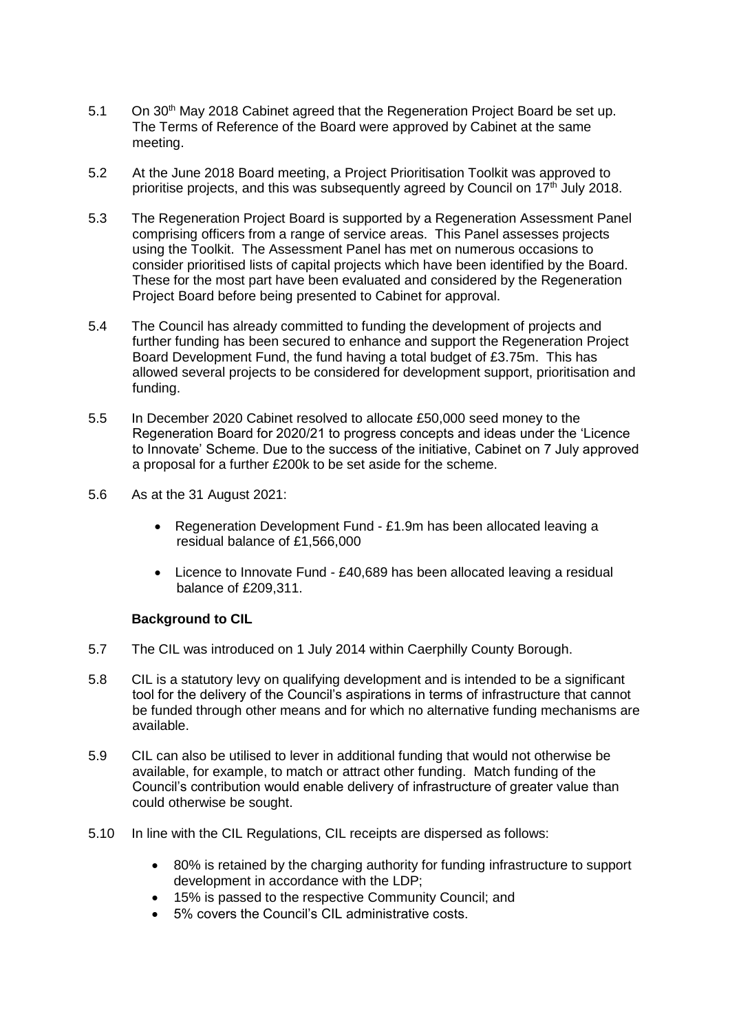- 5.1 On 30<sup>th</sup> May 2018 Cabinet agreed that the Regeneration Project Board be set up. The Terms of Reference of the Board were approved by Cabinet at the same meeting.
- 5.2 At the June 2018 Board meeting, a Project Prioritisation Toolkit was approved to prioritise projects, and this was subsequently agreed by Council on 17th July 2018.
- 5.3 The Regeneration Project Board is supported by a Regeneration Assessment Panel comprising officers from a range of service areas. This Panel assesses projects using the Toolkit. The Assessment Panel has met on numerous occasions to consider prioritised lists of capital projects which have been identified by the Board. These for the most part have been evaluated and considered by the Regeneration Project Board before being presented to Cabinet for approval.
- 5.4 The Council has already committed to funding the development of projects and further funding has been secured to enhance and support the Regeneration Project Board Development Fund, the fund having a total budget of £3.75m. This has allowed several projects to be considered for development support, prioritisation and funding.
- 5.5 In December 2020 Cabinet resolved to allocate £50,000 seed money to the Regeneration Board for 2020/21 to progress concepts and ideas under the 'Licence to Innovate' Scheme. Due to the success of the initiative, Cabinet on 7 July approved a proposal for a further £200k to be set aside for the scheme.
- 5.6 As at the 31 August 2021:
	- Regeneration Development Fund £1.9m has been allocated leaving a residual balance of £1,566,000
	- Licence to Innovate Fund £40,689 has been allocated leaving a residual balance of £209,311.

#### **Background to CIL**

- 5.7 The CIL was introduced on 1 July 2014 within Caerphilly County Borough.
- 5.8 CIL is a statutory levy on qualifying development and is intended to be a significant tool for the delivery of the Council's aspirations in terms of infrastructure that cannot be funded through other means and for which no alternative funding mechanisms are available.
- 5.9 CIL can also be utilised to lever in additional funding that would not otherwise be available, for example, to match or attract other funding. Match funding of the Council's contribution would enable delivery of infrastructure of greater value than could otherwise be sought.
- 5.10 In line with the CIL Regulations, CIL receipts are dispersed as follows:
	- 80% is retained by the charging authority for funding infrastructure to support development in accordance with the LDP;
	- 15% is passed to the respective Community Council; and
	- 5% covers the Council's CIL administrative costs.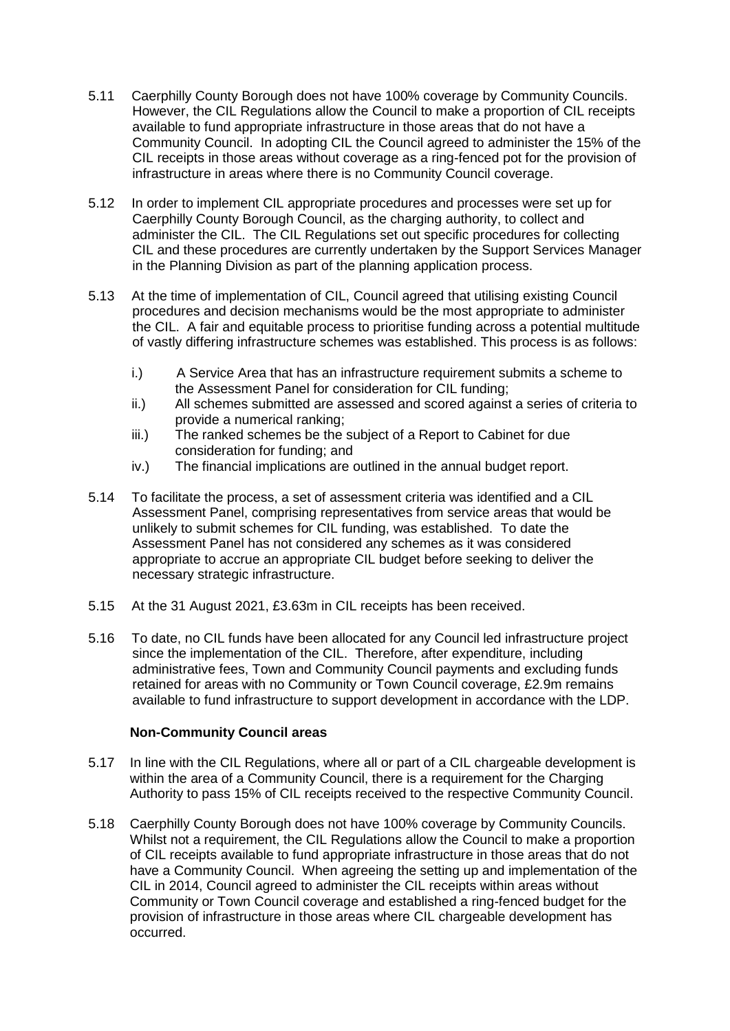- 5.11 Caerphilly County Borough does not have 100% coverage by Community Councils. However, the CIL Regulations allow the Council to make a proportion of CIL receipts available to fund appropriate infrastructure in those areas that do not have a Community Council. In adopting CIL the Council agreed to administer the 15% of the CIL receipts in those areas without coverage as a ring-fenced pot for the provision of infrastructure in areas where there is no Community Council coverage.
- 5.12 In order to implement CIL appropriate procedures and processes were set up for Caerphilly County Borough Council, as the charging authority, to collect and administer the CIL. The CIL Regulations set out specific procedures for collecting CIL and these procedures are currently undertaken by the Support Services Manager in the Planning Division as part of the planning application process.
- 5.13 At the time of implementation of CIL, Council agreed that utilising existing Council procedures and decision mechanisms would be the most appropriate to administer the CIL. A fair and equitable process to prioritise funding across a potential multitude of vastly differing infrastructure schemes was established. This process is as follows:
	- i.) A Service Area that has an infrastructure requirement submits a scheme to the Assessment Panel for consideration for CIL funding;
	- ii.) All schemes submitted are assessed and scored against a series of criteria to provide a numerical ranking;
	- iii.) The ranked schemes be the subject of a Report to Cabinet for due consideration for funding; and
	- iv.) The financial implications are outlined in the annual budget report.
- 5.14 To facilitate the process, a set of assessment criteria was identified and a CIL Assessment Panel, comprising representatives from service areas that would be unlikely to submit schemes for CIL funding, was established. To date the Assessment Panel has not considered any schemes as it was considered appropriate to accrue an appropriate CIL budget before seeking to deliver the necessary strategic infrastructure.
- 5.15 At the 31 August 2021, £3.63m in CIL receipts has been received.
- 5.16 To date, no CIL funds have been allocated for any Council led infrastructure project since the implementation of the CIL. Therefore, after expenditure, including administrative fees, Town and Community Council payments and excluding funds retained for areas with no Community or Town Council coverage, £2.9m remains available to fund infrastructure to support development in accordance with the LDP.

#### **Non-Community Council areas**

- 5.17 In line with the CIL Regulations, where all or part of a CIL chargeable development is within the area of a Community Council, there is a requirement for the Charging Authority to pass 15% of CIL receipts received to the respective Community Council.
- 5.18 Caerphilly County Borough does not have 100% coverage by Community Councils. Whilst not a requirement, the CIL Regulations allow the Council to make a proportion of CIL receipts available to fund appropriate infrastructure in those areas that do not have a Community Council. When agreeing the setting up and implementation of the CIL in 2014, Council agreed to administer the CIL receipts within areas without Community or Town Council coverage and established a ring-fenced budget for the provision of infrastructure in those areas where CIL chargeable development has occurred.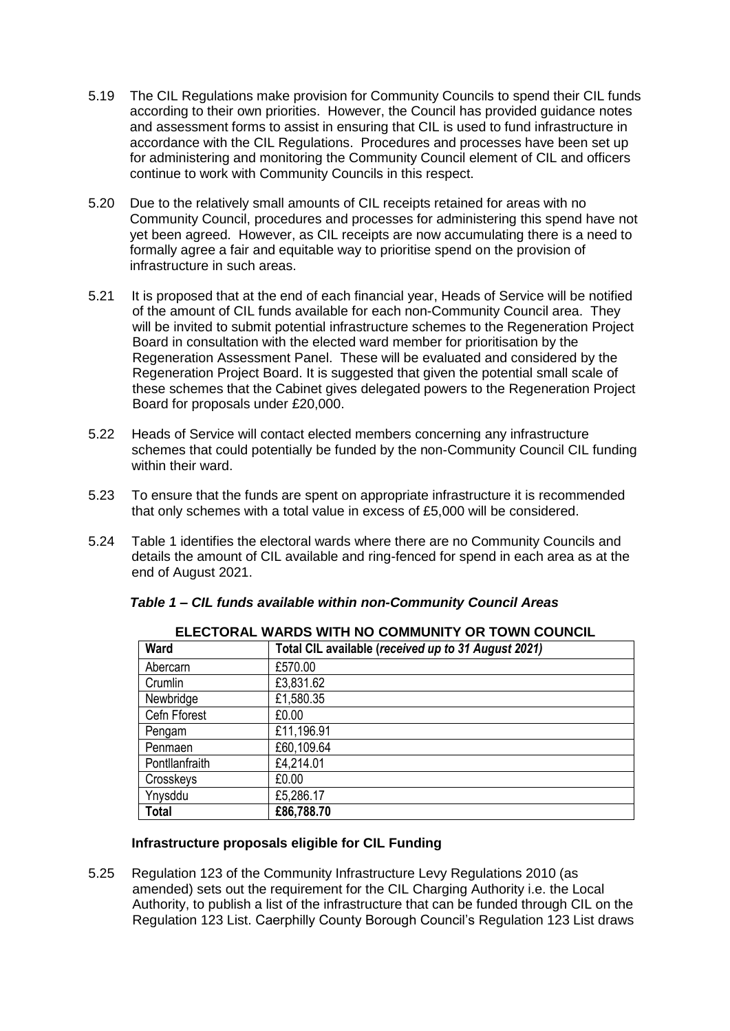- 5.19 The CIL Regulations make provision for Community Councils to spend their CIL funds according to their own priorities. However, the Council has provided guidance notes and assessment forms to assist in ensuring that CIL is used to fund infrastructure in accordance with the CIL Regulations. Procedures and processes have been set up for administering and monitoring the Community Council element of CIL and officers continue to work with Community Councils in this respect.
- 5.20 Due to the relatively small amounts of CIL receipts retained for areas with no Community Council, procedures and processes for administering this spend have not yet been agreed. However, as CIL receipts are now accumulating there is a need to formally agree a fair and equitable way to prioritise spend on the provision of infrastructure in such areas.
- 5.21 It is proposed that at the end of each financial year, Heads of Service will be notified of the amount of CIL funds available for each non-Community Council area. They will be invited to submit potential infrastructure schemes to the Regeneration Project Board in consultation with the elected ward member for prioritisation by the Regeneration Assessment Panel. These will be evaluated and considered by the Regeneration Project Board. It is suggested that given the potential small scale of these schemes that the Cabinet gives delegated powers to the Regeneration Project Board for proposals under £20,000.
- 5.22 Heads of Service will contact elected members concerning any infrastructure schemes that could potentially be funded by the non-Community Council CIL funding within their ward.
- 5.23 To ensure that the funds are spent on appropriate infrastructure it is recommended that only schemes with a total value in excess of £5,000 will be considered.
- 5.24 Table 1 identifies the electoral wards where there are no Community Councils and details the amount of CIL available and ring-fenced for spend in each area as at the end of August 2021.

| Ward           | Total CIL available (received up to 31 August 2021) |
|----------------|-----------------------------------------------------|
| Abercarn       | £570.00                                             |
| Crumlin        | £3,831.62                                           |
| Newbridge      | £1,580.35                                           |
| Cefn Fforest   | £0.00                                               |
| Pengam         | £11,196.91                                          |
| Penmaen        | £60,109.64                                          |
| Pontllanfraith | £4,214.01                                           |
| Crosskeys      | £0.00                                               |
| Ynysddu        | £5,286.17                                           |
| <b>Total</b>   | £86,788.70                                          |

**ELECTORAL WARDS WITH NO COMMUNITY OR TOWN COUNCIL**

#### *Table 1 – CIL funds available within non-Community Council Areas*

#### **Infrastructure proposals eligible for CIL Funding**

5.25 Regulation 123 of the Community Infrastructure Levy Regulations 2010 (as amended) sets out the requirement for the CIL Charging Authority i.e. the Local Authority, to publish a list of the infrastructure that can be funded through CIL on the Regulation 123 List. Caerphilly County Borough Council's Regulation 123 List draws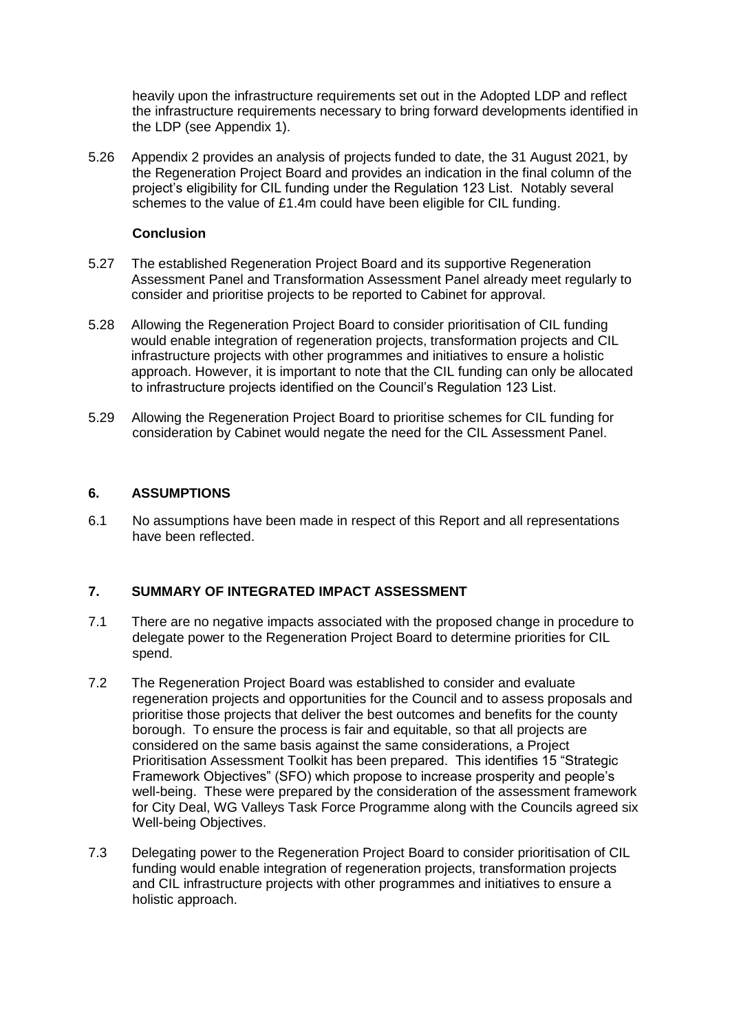heavily upon the infrastructure requirements set out in the Adopted LDP and reflect the infrastructure requirements necessary to bring forward developments identified in the LDP (see Appendix 1).

5.26 Appendix 2 provides an analysis of projects funded to date, the 31 August 2021, by the Regeneration Project Board and provides an indication in the final column of the project's eligibility for CIL funding under the Regulation 123 List. Notably several schemes to the value of £1.4m could have been eligible for CIL funding.

#### **Conclusion**

- 5.27 The established Regeneration Project Board and its supportive Regeneration Assessment Panel and Transformation Assessment Panel already meet regularly to consider and prioritise projects to be reported to Cabinet for approval.
- 5.28 Allowing the Regeneration Project Board to consider prioritisation of CIL funding would enable integration of regeneration projects, transformation projects and CIL infrastructure projects with other programmes and initiatives to ensure a holistic approach. However, it is important to note that the CIL funding can only be allocated to infrastructure projects identified on the Council's Regulation 123 List.
- 5.29 Allowing the Regeneration Project Board to prioritise schemes for CIL funding for consideration by Cabinet would negate the need for the CIL Assessment Panel.

#### **6. ASSUMPTIONS**

6.1 No assumptions have been made in respect of this Report and all representations have been reflected.

#### **7. SUMMARY OF INTEGRATED IMPACT ASSESSMENT**

- 7.1 There are no negative impacts associated with the proposed change in procedure to delegate power to the Regeneration Project Board to determine priorities for CIL spend.
- 7.2 The Regeneration Project Board was established to consider and evaluate regeneration projects and opportunities for the Council and to assess proposals and prioritise those projects that deliver the best outcomes and benefits for the county borough. To ensure the process is fair and equitable, so that all projects are considered on the same basis against the same considerations, a Project Prioritisation Assessment Toolkit has been prepared. This identifies 15 "Strategic Framework Objectives" (SFO) which propose to increase prosperity and people's well-being. These were prepared by the consideration of the assessment framework for City Deal, WG Valleys Task Force Programme along with the Councils agreed six Well-being Objectives.
- 7.3 Delegating power to the Regeneration Project Board to consider prioritisation of CIL funding would enable integration of regeneration projects, transformation projects and CIL infrastructure projects with other programmes and initiatives to ensure a holistic approach.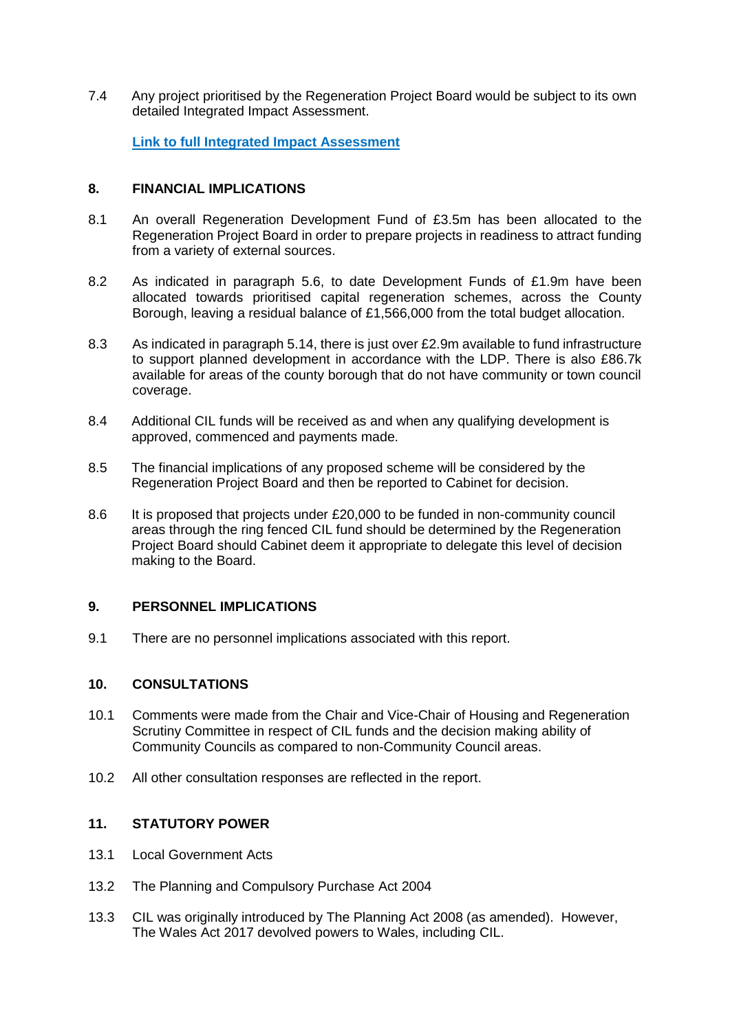7.4 Any project prioritised by the Regeneration Project Board would be subject to its own detailed Integrated Impact Assessment.

**[Link to full Integrated Impact Assessment](https://www.caerphilly.gov.uk/CaerphillyDocs/IIA/IIA_Planning_CILSpend_Apr2021)** 

#### **8. FINANCIAL IMPLICATIONS**

- 8.1 An overall Regeneration Development Fund of £3.5m has been allocated to the Regeneration Project Board in order to prepare projects in readiness to attract funding from a variety of external sources.
- 8.2 As indicated in paragraph 5.6, to date Development Funds of £1.9m have been allocated towards prioritised capital regeneration schemes, across the County Borough, leaving a residual balance of £1,566,000 from the total budget allocation.
- 8.3 As indicated in paragraph 5.14, there is just over £2.9m available to fund infrastructure to support planned development in accordance with the LDP. There is also £86.7k available for areas of the county borough that do not have community or town council coverage.
- 8.4 Additional CIL funds will be received as and when any qualifying development is approved, commenced and payments made.
- 8.5 The financial implications of any proposed scheme will be considered by the Regeneration Project Board and then be reported to Cabinet for decision.
- 8.6 It is proposed that projects under £20,000 to be funded in non-community council areas through the ring fenced CIL fund should be determined by the Regeneration Project Board should Cabinet deem it appropriate to delegate this level of decision making to the Board.

#### **9. PERSONNEL IMPLICATIONS**

9.1 There are no personnel implications associated with this report.

#### **10. CONSULTATIONS**

- 10.1 Comments were made from the Chair and Vice-Chair of Housing and Regeneration Scrutiny Committee in respect of CIL funds and the decision making ability of Community Councils as compared to non-Community Council areas.
- 10.2 All other consultation responses are reflected in the report.

### **11. STATUTORY POWER**

- 13.1 Local Government Acts
- 13.2 The Planning and Compulsory Purchase Act 2004
- 13.3 CIL was originally introduced by The Planning Act 2008 (as amended). However, The Wales Act 2017 devolved powers to Wales, including CIL.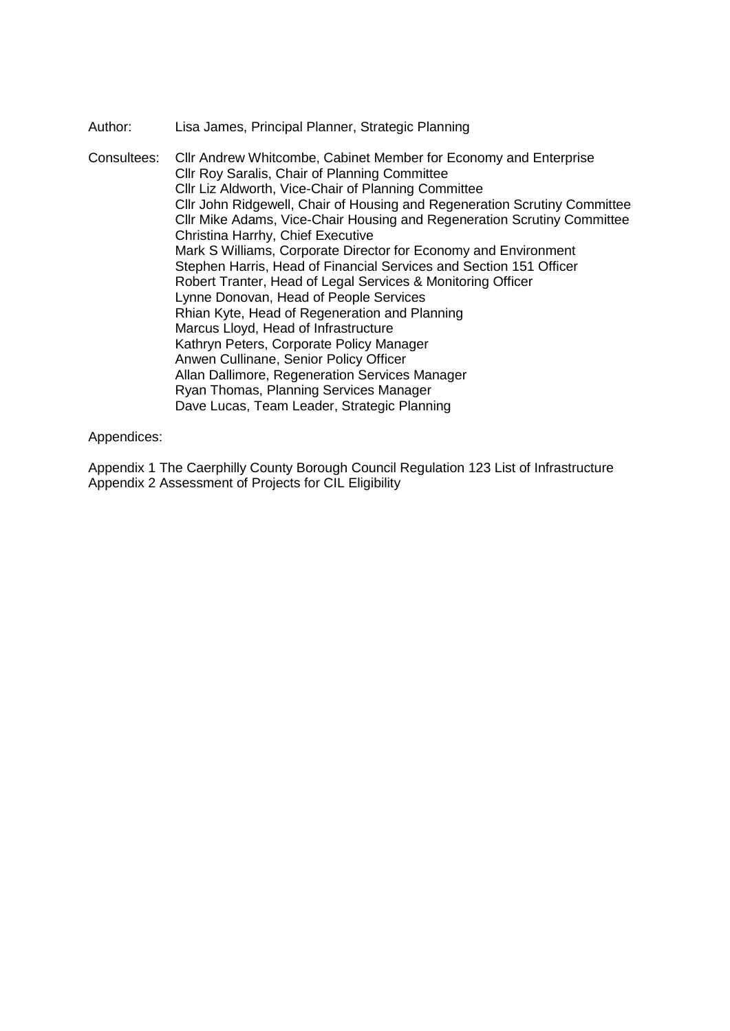#### Author: Lisa James, Principal Planner, Strategic Planning

Consultees: Cllr Andrew Whitcombe, Cabinet Member for Economy and Enterprise Cllr Roy Saralis, Chair of Planning Committee Cllr Liz Aldworth, Vice-Chair of Planning Committee Cllr John Ridgewell, Chair of Housing and Regeneration Scrutiny Committee Cllr Mike Adams, Vice-Chair Housing and Regeneration Scrutiny Committee Christina Harrhy, Chief Executive Mark S Williams, Corporate Director for Economy and Environment Stephen Harris, Head of Financial Services and Section 151 Officer Robert Tranter, Head of Legal Services & Monitoring Officer Lynne Donovan, Head of People Services Rhian Kyte, Head of Regeneration and Planning Marcus Lloyd, Head of Infrastructure Kathryn Peters, Corporate Policy Manager Anwen Cullinane, Senior Policy Officer Allan Dallimore, Regeneration Services Manager Ryan Thomas, Planning Services Manager Dave Lucas, Team Leader, Strategic Planning

#### Appendices:

Appendix 1 The Caerphilly County Borough Council Regulation 123 List of Infrastructure Appendix 2 Assessment of Projects for CIL Eligibility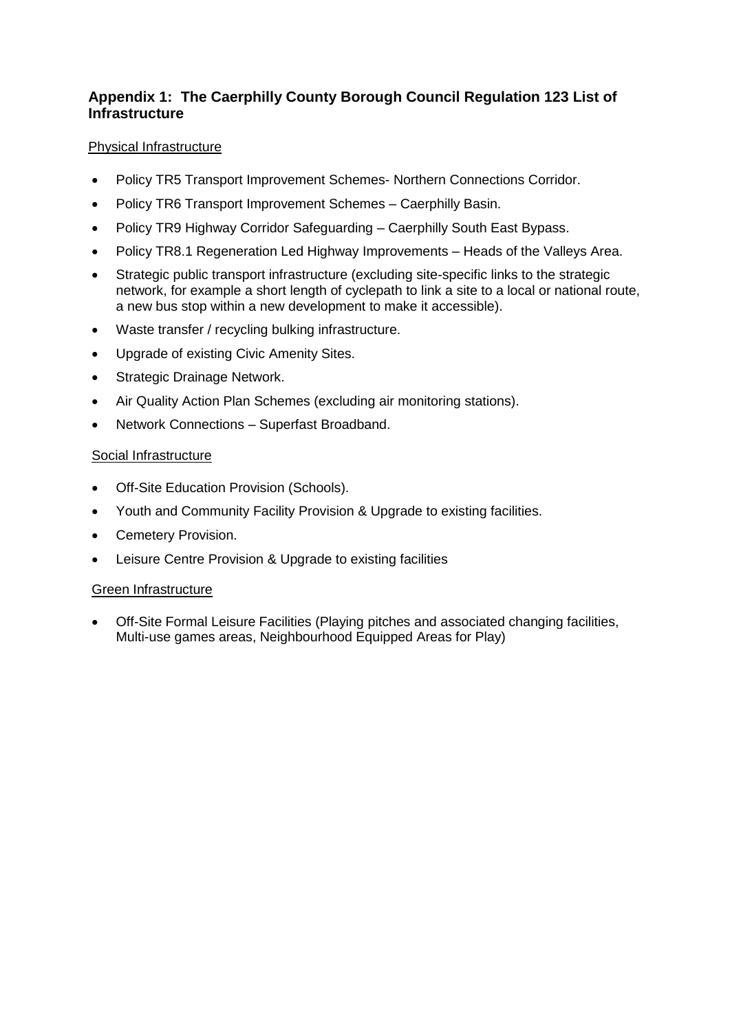## **Appendix 1: The Caerphilly County Borough Council Regulation 123 List of Infrastructure**

### Physical Infrastructure

- Policy TR5 Transport Improvement Schemes- Northern Connections Corridor.
- Policy TR6 Transport Improvement Schemes Caerphilly Basin.
- Policy TR9 Highway Corridor Safeguarding Caerphilly South East Bypass.
- Policy TR8.1 Regeneration Led Highway Improvements Heads of the Valleys Area.
- Strategic public transport infrastructure (excluding site-specific links to the strategic network, for example a short length of cyclepath to link a site to a local or national route, a new bus stop within a new development to make it accessible).
- Waste transfer / recycling bulking infrastructure.
- Upgrade of existing Civic Amenity Sites.
- Strategic Drainage Network.
- Air Quality Action Plan Schemes (excluding air monitoring stations).
- Network Connections Superfast Broadband.

#### Social Infrastructure

- Off-Site Education Provision (Schools).
- Youth and Community Facility Provision & Upgrade to existing facilities.
- Cemetery Provision.
- Leisure Centre Provision & Upgrade to existing facilities

#### Green Infrastructure

 Off-Site Formal Leisure Facilities (Playing pitches and associated changing facilities, Multi-use games areas, Neighbourhood Equipped Areas for Play)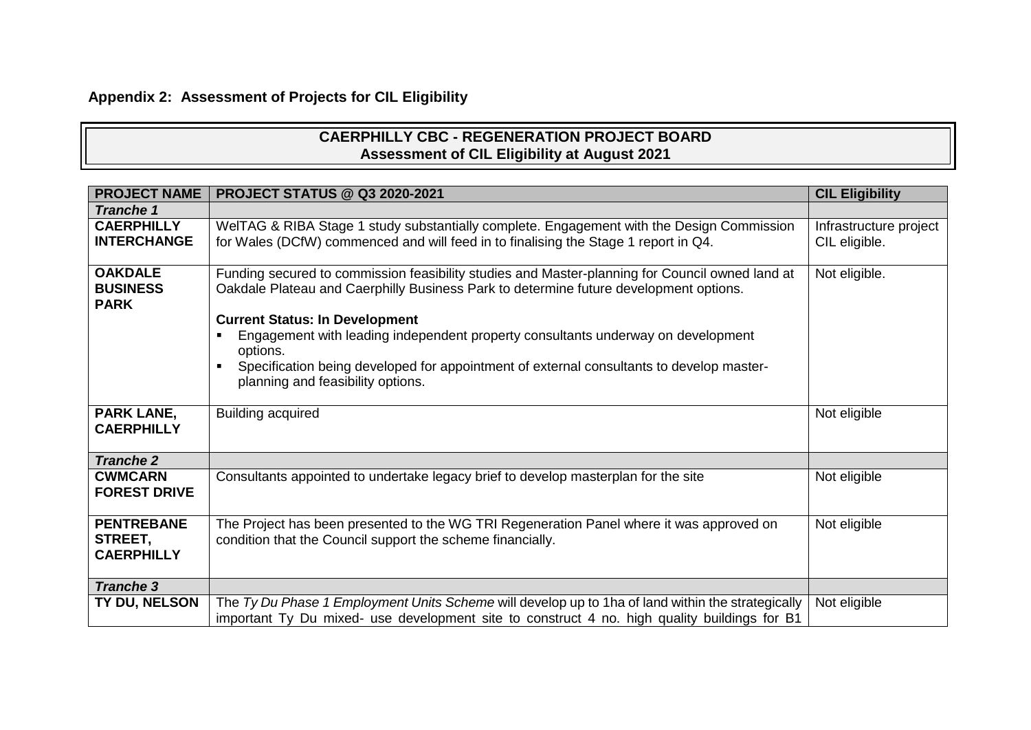# **Appendix 2: Assessment of Projects for CIL Eligibility**

## **CAERPHILLY CBC - REGENERATION PROJECT BOARD Assessment of CIL Eligibility at August 2021**

| <b>PROJECT NAME</b>                               | <b>PROJECT STATUS @ Q3 2020-2021</b>                                                                                                                                                                                                                                                                                                                                                                                                                               | <b>CIL Eligibility</b>                  |
|---------------------------------------------------|--------------------------------------------------------------------------------------------------------------------------------------------------------------------------------------------------------------------------------------------------------------------------------------------------------------------------------------------------------------------------------------------------------------------------------------------------------------------|-----------------------------------------|
| <b>Tranche 1</b>                                  |                                                                                                                                                                                                                                                                                                                                                                                                                                                                    |                                         |
| <b>CAERPHILLY</b><br><b>INTERCHANGE</b>           | WeITAG & RIBA Stage 1 study substantially complete. Engagement with the Design Commission<br>for Wales (DCfW) commenced and will feed in to finalising the Stage 1 report in Q4.                                                                                                                                                                                                                                                                                   | Infrastructure project<br>CIL eligible. |
| <b>OAKDALE</b><br><b>BUSINESS</b><br><b>PARK</b>  | Funding secured to commission feasibility studies and Master-planning for Council owned land at<br>Oakdale Plateau and Caerphilly Business Park to determine future development options.<br><b>Current Status: In Development</b><br>Engagement with leading independent property consultants underway on development<br>options.<br>Specification being developed for appointment of external consultants to develop master-<br>planning and feasibility options. | Not eligible.                           |
| <b>PARK LANE,</b><br><b>CAERPHILLY</b>            | <b>Building acquired</b>                                                                                                                                                                                                                                                                                                                                                                                                                                           | Not eligible                            |
| <b>Tranche 2</b>                                  |                                                                                                                                                                                                                                                                                                                                                                                                                                                                    |                                         |
| <b>CWMCARN</b><br><b>FOREST DRIVE</b>             | Consultants appointed to undertake legacy brief to develop masterplan for the site                                                                                                                                                                                                                                                                                                                                                                                 | Not eligible                            |
| <b>PENTREBANE</b><br>STREET,<br><b>CAERPHILLY</b> | The Project has been presented to the WG TRI Regeneration Panel where it was approved on<br>condition that the Council support the scheme financially.                                                                                                                                                                                                                                                                                                             | Not eligible                            |
| <b>Tranche 3</b>                                  |                                                                                                                                                                                                                                                                                                                                                                                                                                                                    |                                         |
| TY DU, NELSON                                     | The Ty Du Phase 1 Employment Units Scheme will develop up to 1ha of land within the strategically<br>important Ty Du mixed- use development site to construct 4 no. high quality buildings for B1                                                                                                                                                                                                                                                                  | Not eligible                            |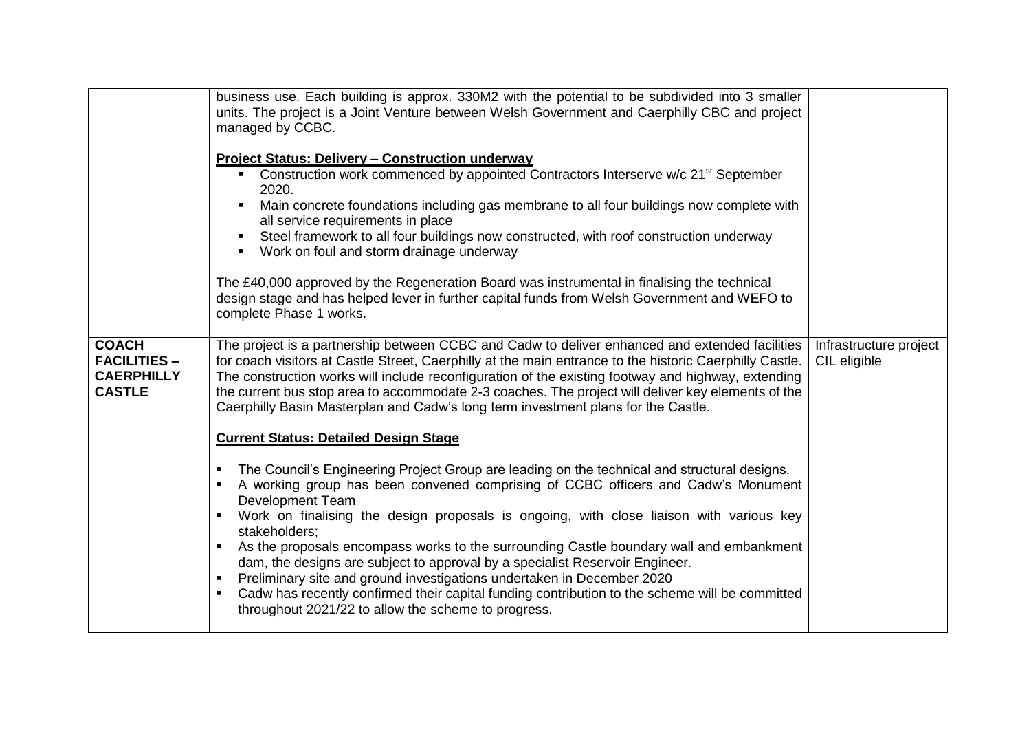|                                                                           | business use. Each building is approx. 330M2 with the potential to be subdivided into 3 smaller<br>units. The project is a Joint Venture between Welsh Government and Caerphilly CBC and project<br>managed by CCBC.                                                                                                                                                                                                                                                                                       |                                        |
|---------------------------------------------------------------------------|------------------------------------------------------------------------------------------------------------------------------------------------------------------------------------------------------------------------------------------------------------------------------------------------------------------------------------------------------------------------------------------------------------------------------------------------------------------------------------------------------------|----------------------------------------|
|                                                                           | <b>Project Status: Delivery - Construction underway</b>                                                                                                                                                                                                                                                                                                                                                                                                                                                    |                                        |
|                                                                           | Construction work commenced by appointed Contractors Interserve w/c 21 <sup>st</sup> September<br>2020.                                                                                                                                                                                                                                                                                                                                                                                                    |                                        |
|                                                                           | Main concrete foundations including gas membrane to all four buildings now complete with<br>all service requirements in place                                                                                                                                                                                                                                                                                                                                                                              |                                        |
|                                                                           | Steel framework to all four buildings now constructed, with roof construction underway<br>Work on foul and storm drainage underway                                                                                                                                                                                                                                                                                                                                                                         |                                        |
|                                                                           | The £40,000 approved by the Regeneration Board was instrumental in finalising the technical<br>design stage and has helped lever in further capital funds from Welsh Government and WEFO to<br>complete Phase 1 works.                                                                                                                                                                                                                                                                                     |                                        |
| <b>COACH</b><br><b>FACILITIES -</b><br><b>CAERPHILLY</b><br><b>CASTLE</b> | The project is a partnership between CCBC and Cadw to deliver enhanced and extended facilities<br>for coach visitors at Castle Street, Caerphilly at the main entrance to the historic Caerphilly Castle.<br>The construction works will include reconfiguration of the existing footway and highway, extending<br>the current bus stop area to accommodate 2-3 coaches. The project will deliver key elements of the<br>Caerphilly Basin Masterplan and Cadw's long term investment plans for the Castle. | Infrastructure project<br>CIL eligible |
|                                                                           | <b>Current Status: Detailed Design Stage</b>                                                                                                                                                                                                                                                                                                                                                                                                                                                               |                                        |
|                                                                           | The Council's Engineering Project Group are leading on the technical and structural designs.<br>$\blacksquare$<br>A working group has been convened comprising of CCBC officers and Cadw's Monument<br>$\blacksquare$<br><b>Development Team</b><br>Work on finalising the design proposals is ongoing, with close liaison with various key<br>$\blacksquare$                                                                                                                                              |                                        |
|                                                                           | stakeholders;<br>As the proposals encompass works to the surrounding Castle boundary wall and embankment<br>$\blacksquare$<br>dam, the designs are subject to approval by a specialist Reservoir Engineer.<br>Preliminary site and ground investigations undertaken in December 2020<br>$\blacksquare$<br>Cadw has recently confirmed their capital funding contribution to the scheme will be committed<br>$\blacksquare$                                                                                 |                                        |
|                                                                           | throughout 2021/22 to allow the scheme to progress.                                                                                                                                                                                                                                                                                                                                                                                                                                                        |                                        |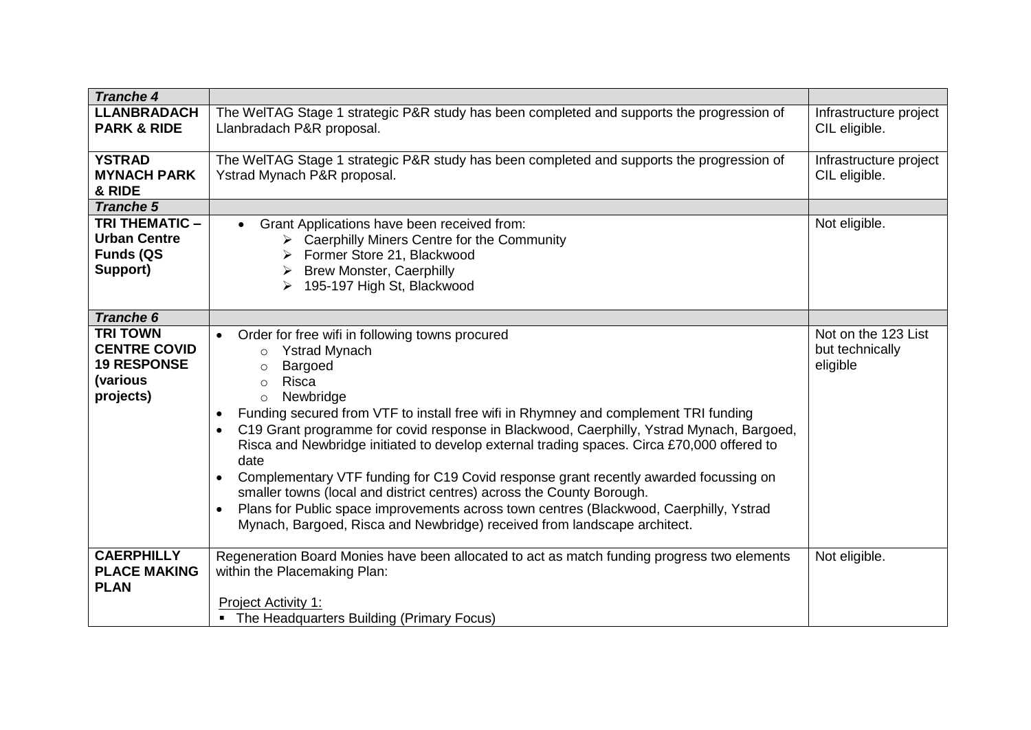| <b>Tranche 4</b>                                                                      |                                                                                                                                                                                                                                                                                                                                                                                                                                                                                                                                                                                                                                                                                                                                                                                                                                          |                                                    |
|---------------------------------------------------------------------------------------|------------------------------------------------------------------------------------------------------------------------------------------------------------------------------------------------------------------------------------------------------------------------------------------------------------------------------------------------------------------------------------------------------------------------------------------------------------------------------------------------------------------------------------------------------------------------------------------------------------------------------------------------------------------------------------------------------------------------------------------------------------------------------------------------------------------------------------------|----------------------------------------------------|
| <b>LLANBRADACH</b><br><b>PARK &amp; RIDE</b>                                          | The WeITAG Stage 1 strategic P&R study has been completed and supports the progression of<br>Llanbradach P&R proposal.                                                                                                                                                                                                                                                                                                                                                                                                                                                                                                                                                                                                                                                                                                                   | Infrastructure project<br>CIL eligible.            |
| <b>YSTRAD</b><br><b>MYNACH PARK</b><br>& RIDE                                         | The WeITAG Stage 1 strategic P&R study has been completed and supports the progression of<br>Ystrad Mynach P&R proposal.                                                                                                                                                                                                                                                                                                                                                                                                                                                                                                                                                                                                                                                                                                                 | Infrastructure project<br>CIL eligible.            |
| <b>Tranche 5</b>                                                                      |                                                                                                                                                                                                                                                                                                                                                                                                                                                                                                                                                                                                                                                                                                                                                                                                                                          |                                                    |
| <b>TRI THEMATIC -</b><br><b>Urban Centre</b><br><b>Funds (QS</b><br>Support)          | Grant Applications have been received from:<br>$\triangleright$ Caerphilly Miners Centre for the Community<br>Former Store 21, Blackwood<br><b>Brew Monster, Caerphilly</b><br>> 195-197 High St, Blackwood                                                                                                                                                                                                                                                                                                                                                                                                                                                                                                                                                                                                                              | Not eligible.                                      |
| <b>Tranche 6</b>                                                                      |                                                                                                                                                                                                                                                                                                                                                                                                                                                                                                                                                                                                                                                                                                                                                                                                                                          |                                                    |
| <b>TRI TOWN</b><br><b>CENTRE COVID</b><br><b>19 RESPONSE</b><br>(various<br>projects) | Order for free wifi in following towns procured<br>$\bullet$<br><b>Ystrad Mynach</b><br>$\circ$<br>Bargoed<br>$\circ$<br>Risca<br>$\circ$<br>Newbridge<br>$\circ$<br>Funding secured from VTF to install free wifi in Rhymney and complement TRI funding<br>C19 Grant programme for covid response in Blackwood, Caerphilly, Ystrad Mynach, Bargoed,<br>$\bullet$<br>Risca and Newbridge initiated to develop external trading spaces. Circa £70,000 offered to<br>date<br>Complementary VTF funding for C19 Covid response grant recently awarded focussing on<br>$\bullet$<br>smaller towns (local and district centres) across the County Borough.<br>Plans for Public space improvements across town centres (Blackwood, Caerphilly, Ystrad<br>$\bullet$<br>Mynach, Bargoed, Risca and Newbridge) received from landscape architect. | Not on the 123 List<br>but technically<br>eligible |
| <b>CAERPHILLY</b><br><b>PLACE MAKING</b><br><b>PLAN</b>                               | Regeneration Board Monies have been allocated to act as match funding progress two elements<br>within the Placemaking Plan:<br><b>Project Activity 1:</b>                                                                                                                                                                                                                                                                                                                                                                                                                                                                                                                                                                                                                                                                                | Not eligible.                                      |
|                                                                                       | The Headquarters Building (Primary Focus)                                                                                                                                                                                                                                                                                                                                                                                                                                                                                                                                                                                                                                                                                                                                                                                                |                                                    |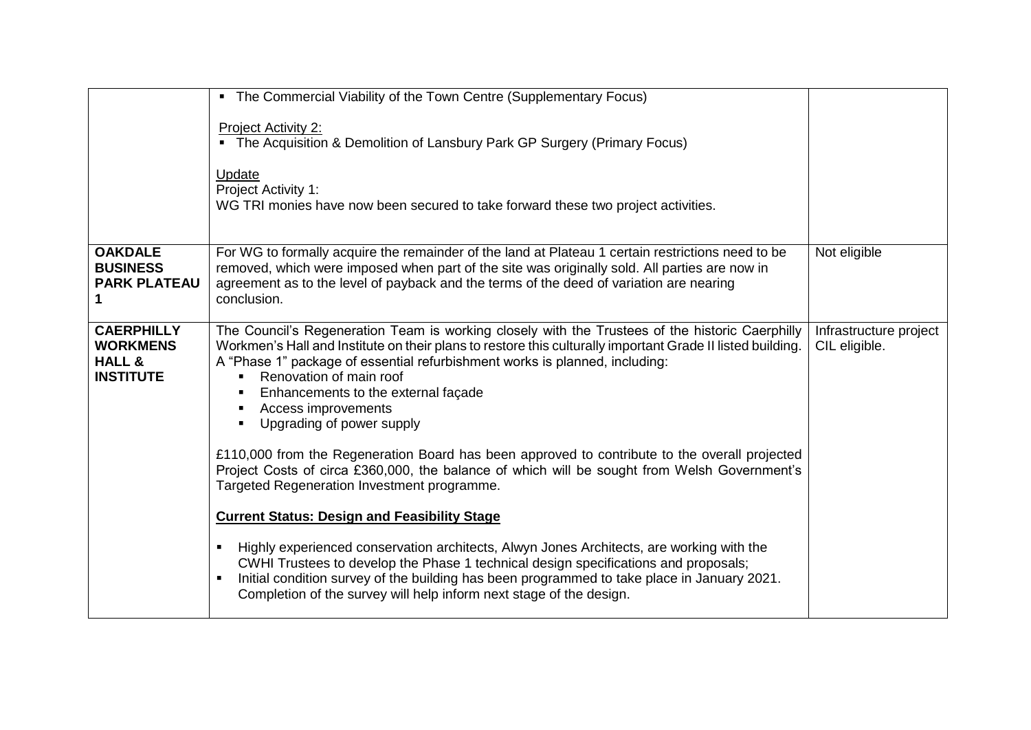|                                                                               | • The Commercial Viability of the Town Centre (Supplementary Focus)                                                                                                                                                                                                                                                                                                                                                                                                      |                                         |
|-------------------------------------------------------------------------------|--------------------------------------------------------------------------------------------------------------------------------------------------------------------------------------------------------------------------------------------------------------------------------------------------------------------------------------------------------------------------------------------------------------------------------------------------------------------------|-----------------------------------------|
|                                                                               | <b>Project Activity 2:</b><br>• The Acquisition & Demolition of Lansbury Park GP Surgery (Primary Focus)<br>Update<br>Project Activity 1:<br>WG TRI monies have now been secured to take forward these two project activities.                                                                                                                                                                                                                                           |                                         |
|                                                                               |                                                                                                                                                                                                                                                                                                                                                                                                                                                                          |                                         |
| <b>OAKDALE</b><br><b>BUSINESS</b><br><b>PARK PLATEAU</b>                      | For WG to formally acquire the remainder of the land at Plateau 1 certain restrictions need to be<br>removed, which were imposed when part of the site was originally sold. All parties are now in<br>agreement as to the level of payback and the terms of the deed of variation are nearing<br>conclusion.                                                                                                                                                             | Not eligible                            |
| <b>CAERPHILLY</b><br><b>WORKMENS</b><br><b>HALL &amp;</b><br><b>INSTITUTE</b> | The Council's Regeneration Team is working closely with the Trustees of the historic Caerphilly<br>Workmen's Hall and Institute on their plans to restore this culturally important Grade II listed building.<br>A "Phase 1" package of essential refurbishment works is planned, including:<br>Renovation of main roof<br>$\blacksquare$<br>Enhancements to the external façade<br>$\blacksquare$<br>Access improvements<br>Upgrading of power supply<br>$\blacksquare$ | Infrastructure project<br>CIL eligible. |
|                                                                               | £110,000 from the Regeneration Board has been approved to contribute to the overall projected<br>Project Costs of circa £360,000, the balance of which will be sought from Welsh Government's<br>Targeted Regeneration Investment programme.                                                                                                                                                                                                                             |                                         |
|                                                                               | <b>Current Status: Design and Feasibility Stage</b>                                                                                                                                                                                                                                                                                                                                                                                                                      |                                         |
|                                                                               | Highly experienced conservation architects, Alwyn Jones Architects, are working with the<br>$\blacksquare$<br>CWHI Trustees to develop the Phase 1 technical design specifications and proposals;<br>Initial condition survey of the building has been programmed to take place in January 2021.<br>٠<br>Completion of the survey will help inform next stage of the design.                                                                                             |                                         |